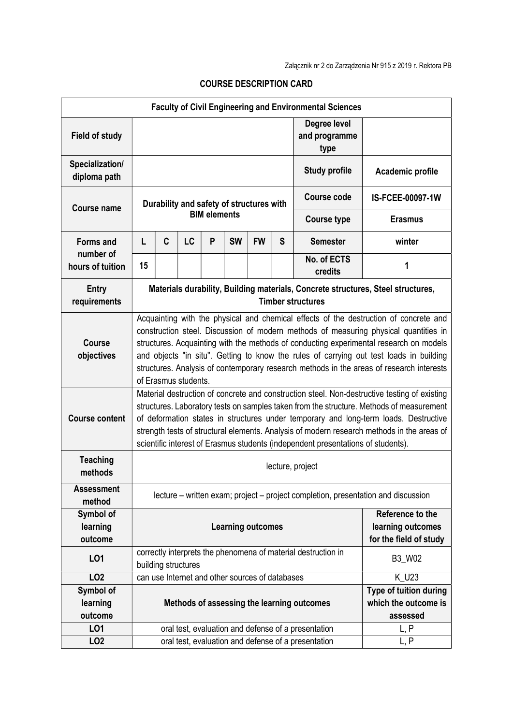| <b>Faculty of Civil Engineering and Environmental Sciences</b> |                                                                                                                                                                                                                                                                                                                                                                                                                                                                                        |   |    |   |                                                 |           |                                                                 |                                                     |                  |
|----------------------------------------------------------------|----------------------------------------------------------------------------------------------------------------------------------------------------------------------------------------------------------------------------------------------------------------------------------------------------------------------------------------------------------------------------------------------------------------------------------------------------------------------------------------|---|----|---|-------------------------------------------------|-----------|-----------------------------------------------------------------|-----------------------------------------------------|------------------|
| <b>Field of study</b>                                          |                                                                                                                                                                                                                                                                                                                                                                                                                                                                                        |   |    |   |                                                 |           |                                                                 | Degree level<br>and programme<br>type               |                  |
| Specialization/<br>diploma path                                |                                                                                                                                                                                                                                                                                                                                                                                                                                                                                        |   |    |   |                                                 |           |                                                                 | <b>Study profile</b>                                | Academic profile |
| <b>Course name</b>                                             | Durability and safety of structures with<br><b>BIM elements</b>                                                                                                                                                                                                                                                                                                                                                                                                                        |   |    |   |                                                 |           |                                                                 | <b>Course code</b>                                  | IS-FCEE-00097-1W |
|                                                                |                                                                                                                                                                                                                                                                                                                                                                                                                                                                                        |   |    |   |                                                 |           |                                                                 | <b>Course type</b>                                  | <b>Erasmus</b>   |
| Forms and<br>number of                                         | L                                                                                                                                                                                                                                                                                                                                                                                                                                                                                      | C | LC | P | <b>SW</b>                                       | <b>FW</b> | S                                                               | <b>Semester</b>                                     | winter           |
| hours of tuition                                               | 15                                                                                                                                                                                                                                                                                                                                                                                                                                                                                     |   |    |   |                                                 |           |                                                                 | No. of ECTS<br>credits                              | 1                |
| <b>Entry</b><br>requirements                                   | Materials durability, Building materials, Concrete structures, Steel structures,<br><b>Timber structures</b>                                                                                                                                                                                                                                                                                                                                                                           |   |    |   |                                                 |           |                                                                 |                                                     |                  |
| <b>Course</b><br>objectives                                    | Acquainting with the physical and chemical effects of the destruction of concrete and<br>construction steel. Discussion of modern methods of measuring physical quantities in<br>structures. Acquainting with the methods of conducting experimental research on models<br>and objects "in situ". Getting to know the rules of carrying out test loads in building<br>structures. Analysis of contemporary research methods in the areas of research interests<br>of Erasmus students. |   |    |   |                                                 |           |                                                                 |                                                     |                  |
| <b>Course content</b>                                          | Material destruction of concrete and construction steel. Non-destructive testing of existing<br>structures. Laboratory tests on samples taken from the structure. Methods of measurement<br>of deformation states in structures under temporary and long-term loads. Destructive<br>strength tests of structural elements. Analysis of modern research methods in the areas of<br>scientific interest of Erasmus students (independent presentations of students).                     |   |    |   |                                                 |           |                                                                 |                                                     |                  |
| <b>Teaching</b><br>methods                                     | lecture, project                                                                                                                                                                                                                                                                                                                                                                                                                                                                       |   |    |   |                                                 |           |                                                                 |                                                     |                  |
| <b>Assessment</b><br>method                                    | lecture – written exam; project – project completion, presentation and discussion                                                                                                                                                                                                                                                                                                                                                                                                      |   |    |   |                                                 |           |                                                                 |                                                     |                  |
| Symbol of<br>learning<br>outcome                               | <b>Learning outcomes</b>                                                                                                                                                                                                                                                                                                                                                                                                                                                               |   |    |   |                                                 |           | Reference to the<br>learning outcomes<br>for the field of study |                                                     |                  |
| LO1                                                            | correctly interprets the phenomena of material destruction in<br>building structures                                                                                                                                                                                                                                                                                                                                                                                                   |   |    |   |                                                 |           | B3_W02                                                          |                                                     |                  |
| <b>LO2</b>                                                     |                                                                                                                                                                                                                                                                                                                                                                                                                                                                                        |   |    |   | can use Internet and other sources of databases |           |                                                                 |                                                     | K_U23            |
| Symbol of<br>learning<br>outcome                               | Methods of assessing the learning outcomes                                                                                                                                                                                                                                                                                                                                                                                                                                             |   |    |   |                                                 |           | Type of tuition during<br>which the outcome is<br>assessed      |                                                     |                  |
| L01                                                            |                                                                                                                                                                                                                                                                                                                                                                                                                                                                                        |   |    |   |                                                 |           |                                                                 | oral test, evaluation and defense of a presentation | L, P             |
| LO <sub>2</sub>                                                |                                                                                                                                                                                                                                                                                                                                                                                                                                                                                        |   |    |   |                                                 |           |                                                                 | oral test, evaluation and defense of a presentation | L, P             |

## COURSE DESCRIPTION CARD